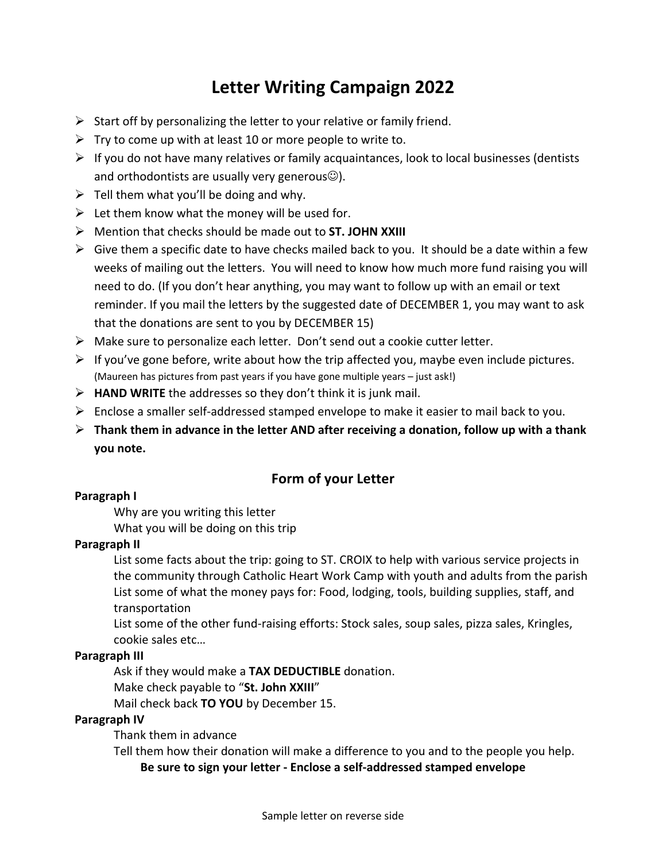# **Letter Writing Campaign 2022**

- $\triangleright$  Start off by personalizing the letter to your relative or family friend.
- $\triangleright$  Try to come up with at least 10 or more people to write to.
- $\triangleright$  If you do not have many relatives or family acquaintances, look to local businesses (dentists and orthodontists are usually very generous $\circledcirc$ ).
- $\triangleright$  Tell them what you'll be doing and why.
- $\triangleright$  Let them know what the money will be used for.
- Ø Mention that checks should be made out to **ST. JOHN XXIII**
- $\triangleright$  Give them a specific date to have checks mailed back to you. It should be a date within a few weeks of mailing out the letters. You will need to know how much more fund raising you will need to do. (If you don't hear anything, you may want to follow up with an email or text reminder. If you mail the letters by the suggested date of DECEMBER 1, you may want to ask that the donations are sent to you by DECEMBER 15)
- $\triangleright$  Make sure to personalize each letter. Don't send out a cookie cutter letter.
- $\triangleright$  If you've gone before, write about how the trip affected you, maybe even include pictures. (Maureen has pictures from past years if you have gone multiple years – just ask!)
- $\triangleright$  **HAND WRITE** the addresses so they don't think it is junk mail.
- $\triangleright$  Enclose a smaller self-addressed stamped envelope to make it easier to mail back to you.
- Ø **Thank them in advance in the letter AND after receiving a donation, follow up with a thank you note.**

## **Form of your Letter**

#### **Paragraph I**

Why are you writing this letter What you will be doing on this trip

#### **Paragraph II**

List some facts about the trip: going to ST. CROIX to help with various service projects in the community through Catholic Heart Work Camp with youth and adults from the parish List some of what the money pays for: Food, lodging, tools, building supplies, staff, and transportation

List some of the other fund-raising efforts: Stock sales, soup sales, pizza sales, Kringles, cookie sales etc…

#### **Paragraph III**

Ask if they would make a **TAX DEDUCTIBLE** donation.

Make check payable to "**St. John XXIII**"

Mail check back **TO YOU** by December 15.

### **Paragraph IV**

Thank them in advance

Tell them how their donation will make a difference to you and to the people you help.

**Be sure to sign your letter - Enclose a self-addressed stamped envelope**